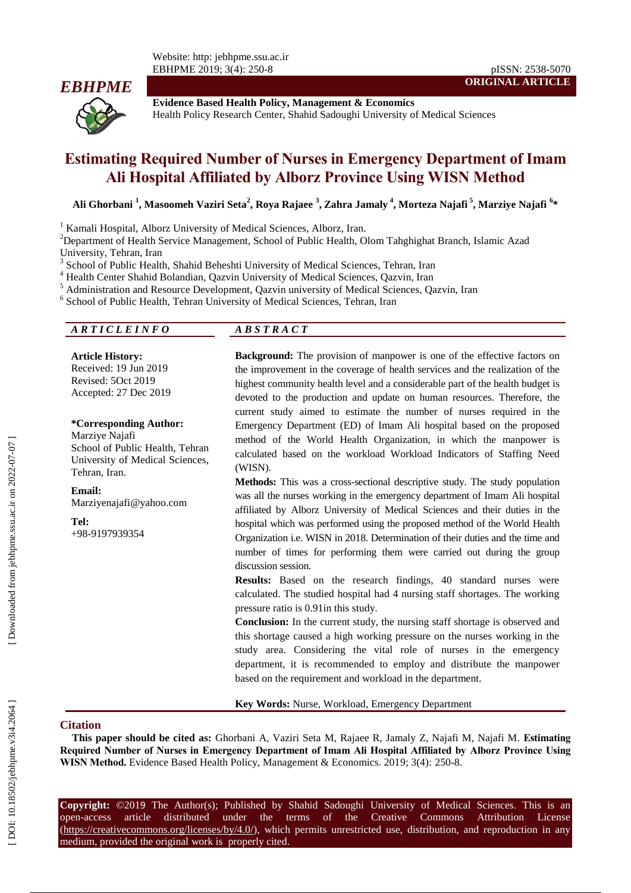Website: http: jebhpme.ssu.ac.ir EBHPME 2019; 3( 4): 250 - 8 pISSN: 2538-5070



**Evidence Based Health Policy, Management & Economics** Health Policy Research Center, Shahid Sadoughi University of Medical Sciences

# **Estimating Required Number of Nurses in Emergency Department of Imam Ali Hospital Affiliated by Alborz Province Using WISN Method**

**Ali Ghorbani 1 , Masoomeh Vaziri Seta 2 , Roya Rajaee 3 , Zahra Jamaly 4 , Morteza Najafi 5 , Marziye Najafi 6 \***

<sup>1</sup> Kamali Hospital, Alborz University of Medical Sciences, Alborz, Iran.

<sup>2</sup>Department of Health Service Management, School of Public Health, Olom Tahghighat Branch, Islamic Azad University, Tehran, Iran <sup>3</sup>

School of Public Health , Shahid Beheshti University of Medical Sciences, Tehran, Iran

<sup>4</sup> Health Center Shahid Bolandian, Qazvin University of Medical Sciences, Qazvin, Iran

<sup>5</sup> Administration and Resource Development, Qazvin university of Medical Sciences, Qazvin, Iran

<sup>6</sup> School of Public Health, Tehran University of Medical Sciences, Tehran, Iran

#### *A R T I C L E I N F O A B S T R A C T*

**Article History:** Received: 1 9 Jun 201 9 Revised: 5Oct 201 9 Accepted: 2 7 Dec 201 9

#### **\*Corresponding Author:**

Marziye Najafi School of Public Health , Tehran University of Medical Sciences , Tehran , Iran .

**Email:** Marziyenajafi@yahoo.com

**Tel:**

+98 -9197939354

**Background:** The provision of manpower is one of the effective factors on the improvement in the coverage of health services and the realization of the highest community health level and a considerable part of the health budget is devoted to the production and update on human resources. Therefore, the current study aimed to estimate the number of nurses required in the Emergency Department (ED) of Imam Ali hospital based on the proposed method of the World Health Organization, in which the manpower is calculated based on the workload Workload Indicators of Staffing Need (WISN).

**ORIGINAL ARTICLE**

**Methods:** This was a cross -sectional descriptive study. The study population was all the nurses working in the emergency department of Imam Ali hospital affiliated by Alborz University of Medical Sciences and their duties in the hospital which was performed using the proposed method of the World Health Organization i.e. WISN in 2018. Determination of their duties and the time and number of times for performing them were carried out during the group discussion session.

**Results:** Based on the research findings, 40 standard nurses were calculated. The studied hospital had 4 nursing staff shortages. The working pressure ratio is 0.91in this study.

**Conclusion:** In the current study, the nursing staff shortage is observed and this shortage caused a high working pressure on the nurses working in the study area. Considering the vital role of nurses in the emergency department, it is recommended to employ and distribute the manpower based on the requirement and workload in the department.

**Key Words:** Nurse, Workload, Emergency Department

#### **Citation**

**This paper should be cited as:** Ghorbani A , Vaziri Seta M, Rajaee R, Jamaly Z, Najafi M, Najafi M. **Estimating Required Number of Nurses in Emergency Department of Imam Ali Hospital Affiliated by Alborz Province Using**  WISN Method. Evidence Based Health Policy, Management & Economics. 2019; 3(4): 250-8.

**Copyright:** ©201 9 The Author(s); Published by Shahid Sadoughi University of Medical Sciences. This is an open-access -access article distributed under the terms of the Creative Commons Attribution License (https://creativecommons.org/licenses/by/4.0/), which permits unrestricted use, distribution, and reproduction in any medium, provided the original work is properly cited.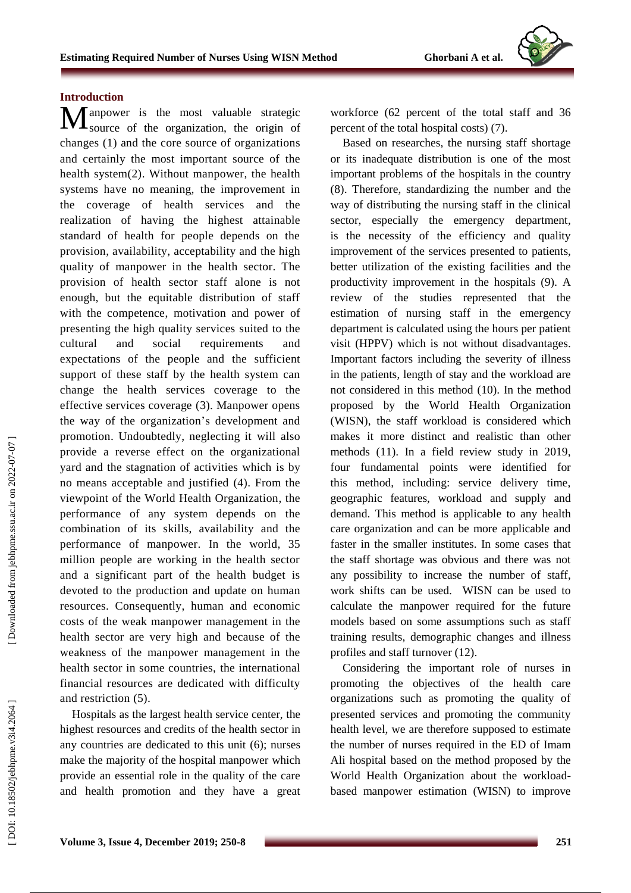# **Introduction**

I anpower is the most valuable strategic Manpower is the most valuable strategic<br>
source of the organization, the origin of change s (1) and the core source of organization s and certainly the most important source of the health system(2). Without manpower, the health systems have no meaning, the improvement in the coverage of health services and the realization of having the highest attainable standard of health for people depends on the provision, availability, acceptability and the high quality of manpower in the health sector. The provision of health sector staff alone is not enough, but the equitable distribution of staff with the competence, motivation and power of presenting the high quality services suited to the cultural and social requirements and expectations of the people and the sufficient support of these staff by the health system can change the health services coverage to the effective services coverage (3). Manpower opens the way of the organization's development and promotion. Undoubtedly, neglecting it will also provide a reverse effect on the organizational yard and the stagnation of activities which is by no means acceptable and justified (4). From the viewpoint of the World Health Organization, the performance of any system depends on the combination of its skills, availability and the performance of manpower. In the world , 35 million people are working in the health sector and a significant part of the health budget is devoted to the production and update on human resources. Consequently, human and economic costs of the weak manpower management in the health sector are very high and because of the weakness of the manpower management in the health sector in some countries, the international financial resources are dedicated with difficulty and restriction (5).

Hospitals as the largest health service center, the highest resources and credits of the health sector in any countries are dedicated to this unit ( 6); nurses make the majority of the hospital manpower which provide an essential role in the quality of the care and health promotion and they have a great

workforce (62 percent of the total staff and 36 percent of the total hospital costs) ( 7).

Based on researches, the nursing staff shortage or its inadequate distribution is one of the most important problems of the hospitals in the country (8). Therefore, standardizing the number and the way of distributing the nursing staff in the clinical sector, especially the emergency department , is the necessity of the efficiency and quality improvement of the services presented to patients, better utilization of the existing facilities and the productivity improvement in the hospitals ( 9). A review of the studies represented that the estimation of nursing staff in the emergency department is calculated using the hours per patient visit (HPPV) which is not without disadvantages. Important factors including the severity of illness in the patients, length of stay and the workload are not considered in this method (10). In the method proposed by the World Health Organization (WISN) , the staff workload is considered which makes it more distinct and realistic than other methods (11). In a field review study in 2019, four fundamental points were identified for this method, including: service delivery time, geographic features, workload and supply and demand. This method is applicable to any health care organization and can be more applicable and faster in the smaller institutes. In some cases that the staff shortage was obvious and there was not any possibility to increase the number of staff, work shifts can be used. WISN can be used to calculate the manpower required for the future models based on some assumptions such as staff training results, demographic changes and illness profiles and staff turnover (12).

Considering the important role of nurses in promoting the objectives of the health care organizations such as promoting the quality of presented services and promoting the community health level, we are therefore supposed to estimate the number of nurses required in the ED of Imam Ali hospital based on the method propose d by the World Health Organization about the workload based manpower estimation (WISN) to improve

Downloaded from jebhpme.ssu.ac.ir on 2022-07-07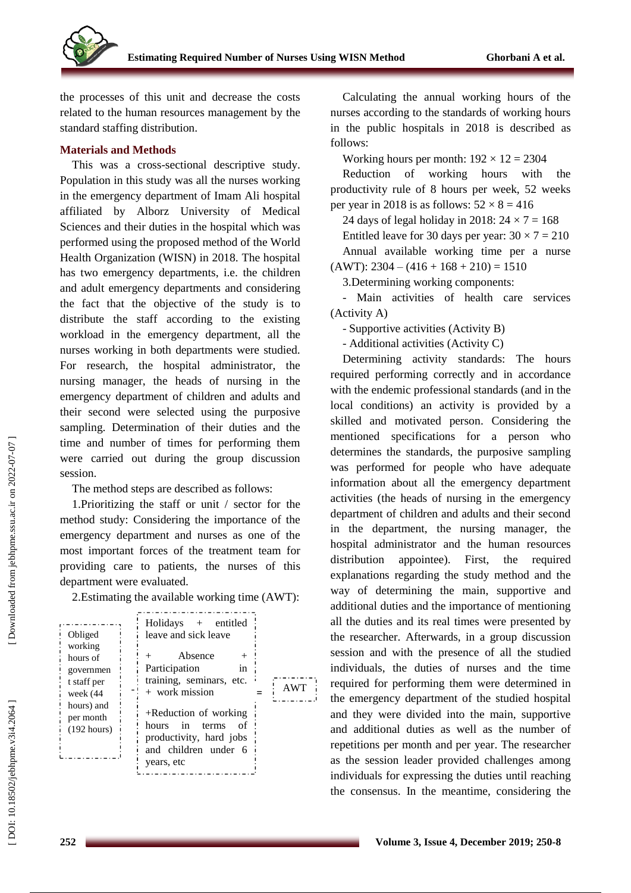

the processes of this unit and decrease the costs related to the human resources management by the standard staffing distribution.

#### **Materials and Methods**

This was a cross -sectional descriptive study. Population in this study was all the nurses working in the emergency department of Imam Ali hospital affiliated by Alborz University of Medical Sciences and their duties in the hospital which was performed using the proposed method of the World Health Organization (WISN) in 2018. The hospital has two emergency departments, i.e. the children and adult emergency departments and considering the fact that the objective of the study is to distribute the staff according to the existing workload in the emergency department, all the nurses working in both departments were studied. For research, the hospital administrator, the nursing manager, the heads of nursing in the emergency department of children and adults and their second were selected using the purposive sampling. Determination of their duties and the time and number of times for performing them were carried out during the group discussion session.

The method steps are described as follows:

1.Prioritizing the staff or unit / sector for the method study: Considering the importance of the emergency department and nurses as one of the most important forces of the treatment team for providing care to patients, the nurses of this department were evaluated.

2.Estimating the available working time (AWT):

| Obliged<br>working<br>hours of<br>governmen<br>t staff per<br>week (44<br>hours) and<br>per month<br>$(192$ hours) | $Holidays + entited$<br>leave and sick leave<br>Absence<br>Participation<br>1n<br>training, seminars, etc.<br>$+$ work mission<br>$+$ Reduction of working<br>hours in terms<br>of<br>productivity, hard jobs<br>and children under 6<br>years, etc | <b>AWT</b> |
|--------------------------------------------------------------------------------------------------------------------|-----------------------------------------------------------------------------------------------------------------------------------------------------------------------------------------------------------------------------------------------------|------------|
|                                                                                                                    |                                                                                                                                                                                                                                                     |            |

Calculating the annual working hours of the nurses according to the standards of working hours in the public hospitals in 2018 is described as follows:

Working hours per month:  $192 \times 12 = 2304$ 

Reduction of working hours with the productivity rule of 8 hours per week, 52 weeks per year in 2018 is as follows:  $52 \times 8 = 416$ 

24 days of legal holiday in 2018:  $24 \times 7 = 168$ 

Entitled leave for 30 days per year:  $30 \times 7 = 210$ Annual available working time per a nurse  $(AWT): 2304 - (416 + 168 + 210) = 1510$ 

3 .Determining working components:

Main activities of health care services (Activity A)

- Supportive activities (Activity B)

- Additional activities (Activity C)

Determining activity standards: The hours required performing correctly and in accordance with the endemic professional standards (and in the local conditions) an activity is provided by a skilled and motivated person. Considering the mentioned specifications for a person who determines the standards, the purposive sampling was performed for people who have adequate information about all the emergency department activities (the heads of nursing in the emergency department of children and adults and their second in the department, the nursing manager, the hospital administrator and the human resources distribution appointee). First, the required explanations regarding the study method and the way of determining the main, supportive and additional duties and the importance of mentioning all the duties and its real times were presented by the researcher. Afterwards, in a group discussion session and with the presence of all the studied individuals, the duties of nurses and the time required for performing them were determined in the emergency department of the studied hospital and they were divided into the main, supportive and additional duties as well as the number of repetitions per month and per year. The researcher as the session leader provided challenges among individuals for expressing the duties until reaching the consensus. In the meantime, considering the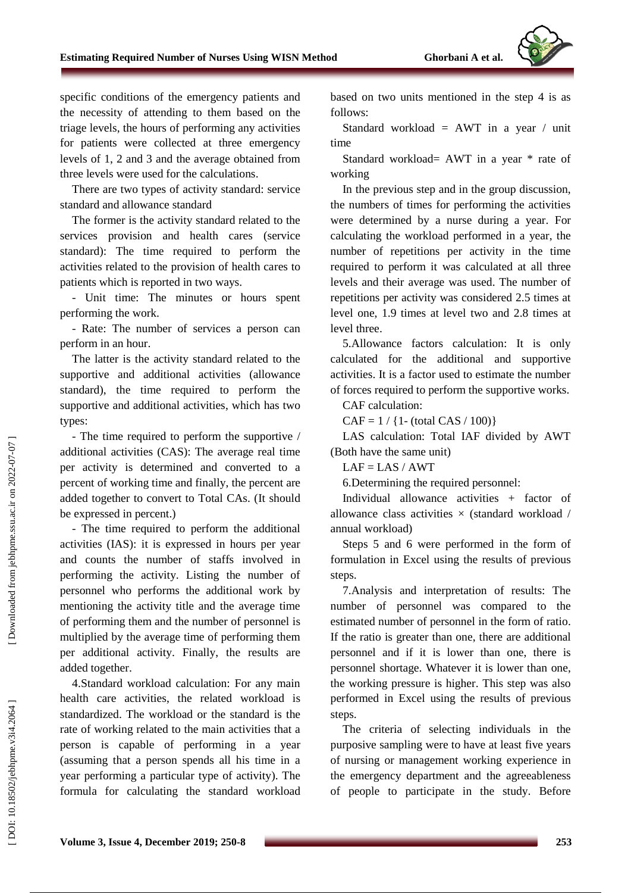

specific conditions of the emergency patients and the necessity of attending to them based on the triage levels, the hours of performing any activities for patients were collected at three emergency levels of 1, 2 and 3 and the average obtained from three levels were used for the calculations .

There are two types of activity standard: service standard and allowance standard

The former is the activity standard related to the services provision and health cares (service standard): The time required to perform the activities related to the provision of health cares to patients which is reported in two ways.

- Unit time: The minutes or hours spent performing the work.

- Rate: The number of services a person can perform in an hour.

The latter is the activity standard related to the supportive and additional activities (allowance standard), the time required to perform the supportive and additional activities , which has two types :

- The time required to perform the supportive / additional activities (CAS): The average real time per activity is determined and converted to a percent of working time and finally , the percent are added together to convert to Total CAs. ( It should be expressed in percent.)

- The time required to perform the additional activities (IAS): it is expressed in hours per year and counts the number of staffs involved in performing the activity. Listing the number of personnel who performs the additional work by mentioning the activity title and the average time of performing them and the number of personnel is multiplied by the average time of performing them per additional activity. Finally, the results are added together .

4 .Standard workload calculation: For any main health care activities, the related workload is standardized. The workload or the standard is the rate of working related to the main activities that a person is capable of performing in a year (assuming that a person spends all his time in a year performing a particular type of activity ). The formula for calculating the standard workload

based on two units mentioned in the step 4 is as follows:

Standard workload =  $AWT$  in a year / unit time

Standard workload= AWT in a year \* rate of working

In the previous step and in the group discussion, the numbers of times for performing the activities were determined by a nurse during a year. For calculating the workload performed in a year, the number of repetitions per activity in the time required to perform it was calculated at all three levels and their average was used. The number of repetitions per activity was considered 2.5 times at level one, 1.9 times at level two and 2.8 times at level three .

5 .Allowance factors calculation: It is only calculated for the additional and supportive activities. It is a factor used to estimate the number of forces required to perform the supportive works .

CAF calculation:

 $CAF = 1 / {1-(total CAS / 100)}$ 

LAS calculation: Total IAF divided by AWT (Both have the same unit)

 $LAF = LAS / AWT$ 

6 .Determining the required personnel:

Individual allowance activities + factor of allowance class activities  $\times$  (standard workload / annual workload)

Steps 5 and 6 were performed in the form of formulation in Excel using the results of previous steps.

7.Analysis and interpretation of results: The number of personnel was compared to the estimated number of personnel in the form of ratio. If the ratio is greater than one, there are additional personnel and if it is lower than one, there is personnel shortage. Whatever it is lower than one, the working pressure is higher. This step was also performed in Excel using the results of previous steps.

The criteri a of selecting individuals in the purposive sampling were to have at least five years of nursing or management working experience in the emergency department and the agreeableness of people to participate in the study. Before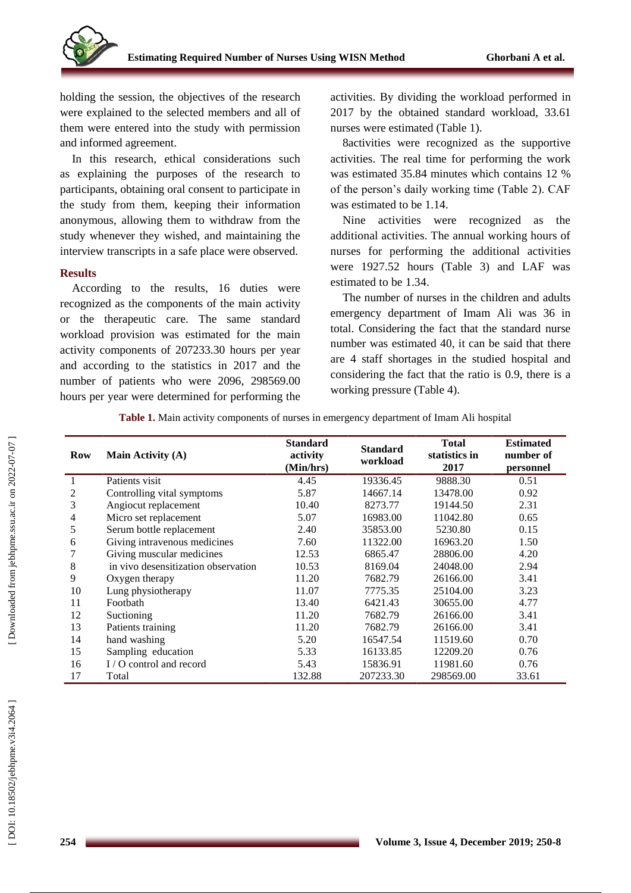

holding the session, the objectives of the research were explained to the selected members and all of them were entered into the study with permission and informed agreement .

In this research, ethical considerations such as explaining the purposes of the research to participants, obtaining oral consent to participate in the study from them, keeping their information anonymous, allowing them to withdraw from the study whenever they wished, and maintaining the interview transcripts in a safe place were observed.

#### **Results**

According to the results, 16 duties were recognized as the components of the main activity or the therapeutic care. The same standard workload provision was estimated for the main activity components of 207233.30 hours per year and according to the statistics in 2017 and the number of patients who were 2096, 298569.00 hours per year were determine d for performing the

activities. By dividing the workload performed in 2017 by the obtained standard workload, 33.61 nurses were estimated (Table 1).

8activities were recognized as the supportive activities. The real time for performing the work was estimated 35.84 minutes which contains 12 % of the person's daily working time (Table 2). CAF was estimated to be 1.14.

Nine activities were recognized as the additional activities. The annual working hours of nurses for performing the additional activities were 1927.52 hours (Table 3) and LAF was estimated to be 1.34.

The number of nurses in the children and adults emergency department of Imam Ali was 36 in total. Considering the fact that the standard nurse number was estimated 40, it can be said that there are 4 staff shortages in the studied hospital and considering the fact that the ratio is 0.9, there is a working pressure (Table 4).

| Row | <b>Main Activity (A)</b>            | <b>Standard</b><br>activity<br>(Min/hrs) | <b>Standard</b><br>workload | <b>Total</b><br>statistics in<br>2017 | <b>Estimated</b><br>number of<br>personnel |
|-----|-------------------------------------|------------------------------------------|-----------------------------|---------------------------------------|--------------------------------------------|
|     | Patients visit                      | 4.45                                     | 19336.45                    | 9888.30                               | 0.51                                       |
| 2   | Controlling vital symptoms          | 5.87                                     | 14667.14                    | 13478.00                              | 0.92                                       |
| 3   | Angiocut replacement                | 10.40                                    | 8273.77                     | 19144.50                              | 2.31                                       |
| 4   | Micro set replacement               | 5.07                                     | 16983.00                    | 11042.80                              | 0.65                                       |
| 5   | Serum bottle replacement            | 2.40                                     | 35853.00                    | 5230.80                               | 0.15                                       |
| 6   | Giving intravenous medicines        | 7.60                                     | 11322.00                    | 16963.20                              | 1.50                                       |
| 7   | Giving muscular medicines           | 12.53                                    | 6865.47                     | 28806.00                              | 4.20                                       |
| 8   | in vivo desensitization observation | 10.53                                    | 8169.04                     | 24048.00                              | 2.94                                       |
| 9   | Oxygen therapy                      | 11.20                                    | 7682.79                     | 26166.00                              | 3.41                                       |
| 10  | Lung physiotherapy                  | 11.07                                    | 7775.35                     | 25104.00                              | 3.23                                       |
| 11  | Footbath                            | 13.40                                    | 6421.43                     | 30655.00                              | 4.77                                       |
| 12  | Suctioning                          | 11.20                                    | 7682.79                     | 26166.00                              | 3.41                                       |
| 13  | Patients training                   | 11.20                                    | 7682.79                     | 26166.00                              | 3.41                                       |
| 14  | hand washing                        | 5.20                                     | 16547.54                    | 11519.60                              | 0.70                                       |
| 15  | Sampling education                  | 5.33                                     | 16133.85                    | 12209.20                              | 0.76                                       |
| 16  | $I/O$ control and record            | 5.43                                     | 15836.91                    | 11981.60                              | 0.76                                       |
| 17  | Total                               | 132.88                                   | 207233.30                   | 298569.00                             | 33.61                                      |

**Table 1.** Main activity components of nurses in emergency department of Imam Ali hospital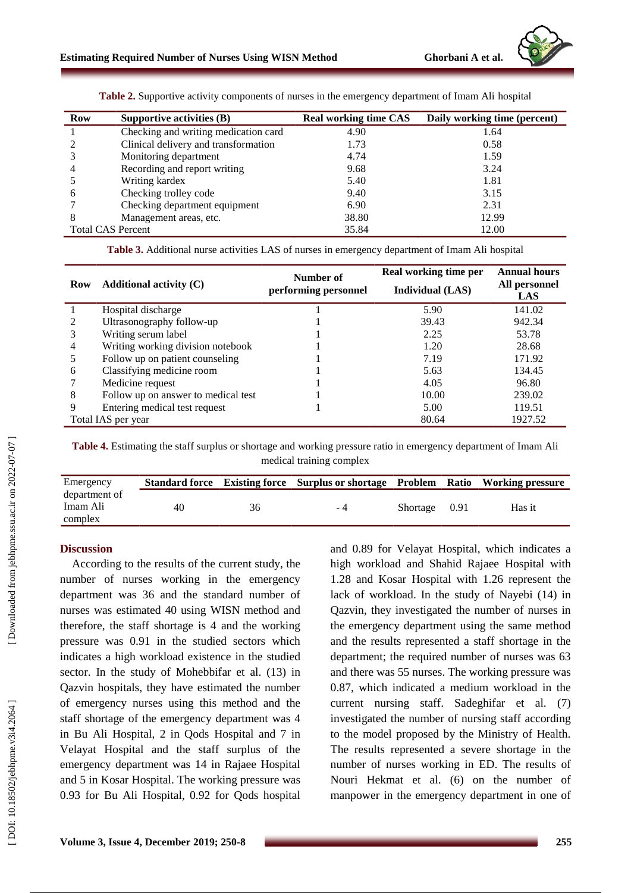

| Row                      | Supportive activities $(B)$          | <b>Real working time CAS</b> | Daily working time (percent) |
|--------------------------|--------------------------------------|------------------------------|------------------------------|
|                          | Checking and writing medication card | 4.90                         | 1.64                         |
|                          | Clinical delivery and transformation | 1.73                         | 0.58                         |
|                          | Monitoring department                | 4.74                         | 1.59                         |
| $\overline{4}$           | Recording and report writing         | 9.68                         | 3.24                         |
|                          | Writing kardex                       | 5.40                         | 1.81                         |
| 6                        | Checking trolley code                | 9.40                         | 3.15                         |
|                          | Checking department equipment        | 6.90                         | 2.31                         |
| 8                        | Management areas, etc.               | 38.80                        | 12.99                        |
| <b>Total CAS Percent</b> |                                      | 35.84                        | 12.00                        |

**Table 2.** Supportive activity components of nurses in the emergency department of Imam Ali hospital

**Table 3.** Additional nurse activities LAS of nurses in emergency department of Imam Ali hospital

| <b>Row</b> | Additional activity $(C)$           | Number of<br>performing personnel | Real working time per<br><b>Individual</b> (LAS) | <b>Annual hours</b><br>All personnel<br>LAS |
|------------|-------------------------------------|-----------------------------------|--------------------------------------------------|---------------------------------------------|
|            | Hospital discharge                  |                                   | 5.90                                             | 141.02                                      |
|            | Ultrasonography follow-up           |                                   | 39.43                                            | 942.34                                      |
|            | Writing serum label                 |                                   | 2.25                                             | 53.78                                       |
|            | Writing working division notebook   |                                   | 1.20                                             | 28.68                                       |
|            | Follow up on patient counseling     |                                   | 7.19                                             | 171.92                                      |
| 6          | Classifying medicine room           |                                   | 5.63                                             | 134.45                                      |
|            | Medicine request                    |                                   | 4.05                                             | 96.80                                       |
| 8          | Follow up on answer to medical test |                                   | 10.00                                            | 239.02                                      |
|            | Entering medical test request       |                                   | 5.00                                             | 119.51                                      |
|            | Total IAS per year                  |                                   | 80.64                                            | 1927.52                                     |

**Table 4 .** Estimating the staff surplus or shortage and working pressure ratio in emergency department of Imam Ali medical training complex

| Emergency     |    |    | Standard force Existing force Surplus or shortage Problem Ratio Working pressure |               |        |
|---------------|----|----|----------------------------------------------------------------------------------|---------------|--------|
| department of |    |    |                                                                                  |               |        |
| Imam Ali      | 40 | 36 | $-4$                                                                             | Shortage 0.91 | Has it |
| complex       |    |    |                                                                                  |               |        |

#### **Discussion**

According to the results of the current study, the number of nurses working in the emergency department was 36 and the standard number of nurses was estimated 40 using WISN method and therefore, the staff shortage is 4 and the working pressure was 0.91 in the studied sectors which indicates a high workload existence in the studied sector. In the study of Mohebbifar et al. (13) in Qazvin hospitals, they have estimated the number of emergency nurses using this method and the staff shortage of the emergency department was 4 in Bu Ali Hospital, 2 in Qods Hospital and 7 in Velayat Hospital and the staff surplus of the emergency department was 14 in Rajaee Hospital and 5 in Kosar Hospital. The working pressure was 0.93 for Bu Ali Hospital, 0.92 for Qods hospital and 0.89 for Velayat Hospital, which indicates a high workload and Shahid Rajaee Hospital with 1.28 and Kosar Hospital with 1.26 represent the lack of workload. In the study of Nayebi (14) in Qazvin, they investigated the number of nurses in the emergency department using the same method and the results represented a staff shortage in the department ; the required number of nurses was 63 and there was 55 nurses. The working pressure was 0.87, which indicated a medium workload in the current nursing staff. Sadeghifar et al. (7) investigated the number of nursing staff according to the model proposed by the Ministry of Health. The results represented a severe shortage in the number of nurses working in ED. The results of Nouri Hekmat et al. (6) on the number of manpower in the emergency department in one of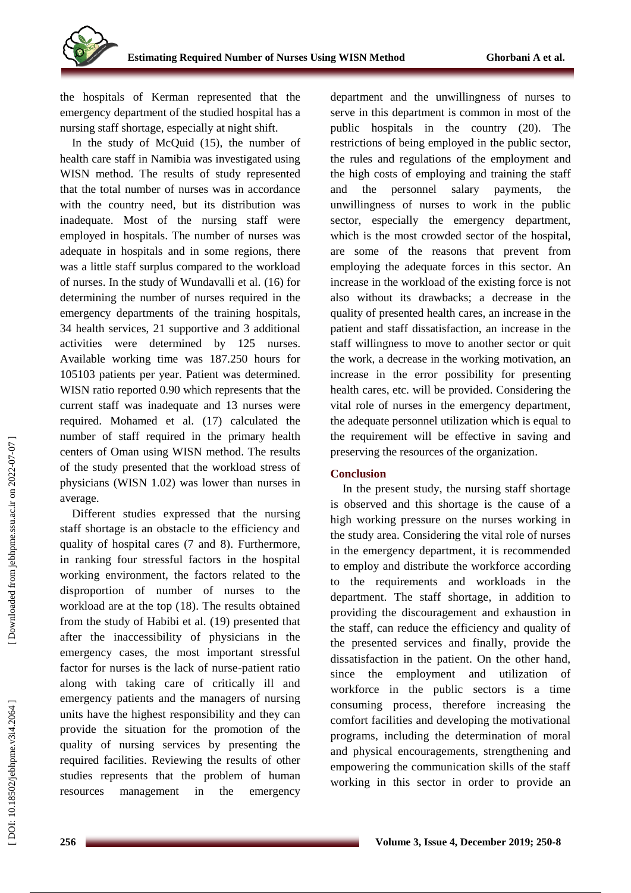the hospital s of Kerman represented that the emergency department of the studied hospital has a nursing staff shortage, especially at night shift.

In the study of McQuid (15), the number of health care staff in Namibia was investigated using WISN method. The results of study represented that the total number of nurses was in accordance with the country need, but its distribution was inadequate. Most of the nursing staff were employed in hospitals. The number of nurses was adequate in hospitals and in some regions, there was a little staff surplus compared to the workload of nurses. In the study of Wundavalli et al. (16) for determining the number of nurses required in the emergency departments of the training hospitals, 34 health services, 21 supportive and 3 additional activities were determined by 125 nurses. Available working time was 187.250 hours for 105103 patients per year. Patient was determined. WISN ratio reported 0.90 which represents that the current staff was inadequate and 13 nurses were required. Mohamed et al. (17) calculated the number of staff required in the primary health centers of Oman using WISN method. The results of the study presented that the workload stress of physicians (WISN 1.02) was lower than nurses in average .

Different studies expressed that the nursing staff shortage is an obstacle to the efficiency and quality of hospital cares (7 and 8). Furthermore , in ranking four stressful factors in the hospital working environment, the factors related to the disproportion of number of nurses to the workload are at the top (18). The results obtained from the study of Habibi et al. (19) presented that after the inaccessibility of physicians in the emergency cases, the most important stressful factor for nurses is the lack of nurse -patient ratio along with taking care of critically ill and emergency patients and the managers of nursing units have the highest responsibility and they can provide the situation for the promotion of the quality of nursing services by presenting the required facilities. Reviewing the results of other studies represents that the problem of human resources management in the emergency

department and the unwillingness of nurses to serve in this department is common in most of the public hospitals in the country (20). The restriction s of being employed in the public sector, the rules and regulations of the employment and the high costs of employing and training the staff and the personnel salary payments, the unwillingness of nurses to work in the public sector, especially the emergency department, which is the most crowded sector of the hospital, are some of the reasons that prevent from employing the adequate force s in this sector. An increase in the workload of the existing force is not also without its drawbacks; a decrease in the quality of presented health care s, an increase in the patient and staff dissatisfaction, an increase in the staff willingness to move to another sector or quit the work, a decrease in the working motivation, an increase in the error possibility for presenting health care s, etc. will be provided. Considering the vital role of nurses in the emergency department, the adequate personnel utilization which is equal to the requirement will be effective in saving and preserving the resources of the organization .

## **Conclusion**

In the present study, the nursing staff shortage is observed and this shortage is the cause of a high working pressure on the nurses working in the study area. Considering the vital role of nurses in the emergency department, it is recommended to employ and distribute the workforce according to the requirements and workloads in the department. The staff shortage, in addition to providing the discouragement and exhaustion in the staff, can reduce the efficiency and quality of the presented services and finally, provide the dissatisfaction in the patient. On the other hand, since the employment and utilization of workforce in the public sector s is a time consuming process, therefore increasing the comfort facilities and developing the motivational programs , including the determination of moral and physical encouragements, strengthening and empowering the communication skills of the staff working in this sector in order to provide an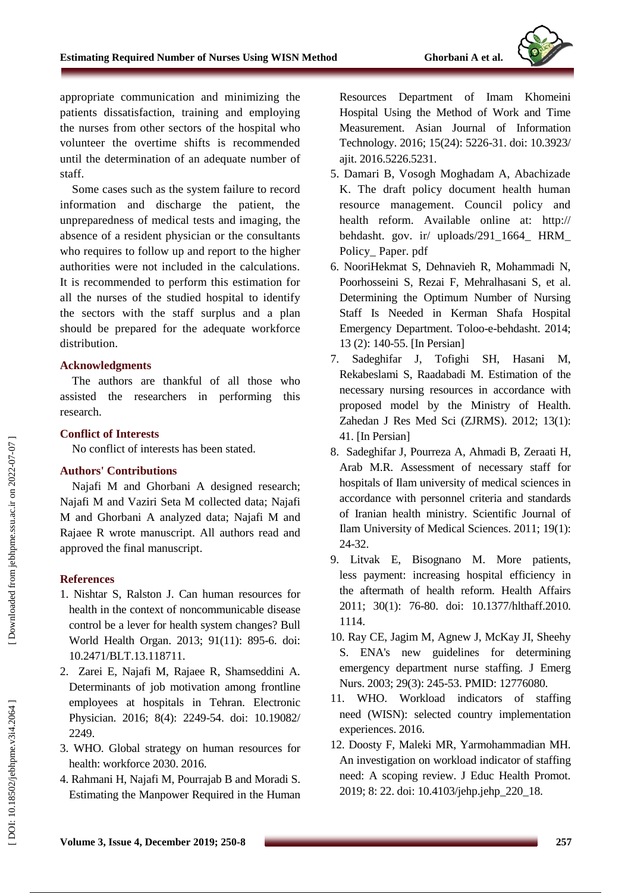

appropriate communication and minimizing the patient s dissatisfaction, training and employing the nurses from other sectors of the hospital who volunteer the overtime shifts is recommended until the determination of a n adequate number of staff.

Some cases such as the system failure to record information and discharge the patient, the unpreparedness of medical tests and imaging, the absence of a resident physician or the consultants who requires to follow up and report to the higher authorities were not included in the calculations. It is recommended to perform this estimation for all the nurses of the studied hospital to identify the sectors with the staff surplus and a plan should be prepared for the adequate workforce distribution.

#### **Acknowledgments**

The authors are thankful of all those who assisted the researchers in performing this research.

#### **Conflict of Interest s**

No conflict of interest s has been stated.

## **Authors' Contributions**

Najafi M and Ghorbani A designed research; Najafi M and Vaziri Seta M collected data; Najafi M and Ghorbani A analyzed data; Najafi M and Rajaee R wrote manuscript. All authors read and approved the final manuscript .

## **References**

- 1. Nishtar S, Ralston J. Can human resources for health in the context of noncommunicable disease control be a lever for health system changes? Bull World Health Organ. 2013; 91(11): 895 -6. doi: 10.2471/BLT.13.118711.
- 2. Zarei E, Najafi M, Rajaee R, Shamseddini A. Determinants of job motivation among frontline employees at hospitals in Tehran. Electronic Physician. 2016; 8(4): 2249-54. doi: 10.19082/ 2249 .
- 3. WHO. Global strategy on human resources for health: workforce 2030. 2016.
- 4. Rahmani H, Najafi M, Pourrajab B and Moradi S. Estimating the Manpower Required in the Human

Resources Department of Imam Khomeini Hospital Using the Method of Work and Time Measurement. Asian Journal of Information Technology. 2016; 15(24): 5226 -31. doi: 10.3923/ ajit. 2016.5226.5231 .

- 5. Damari B, Vosogh Moghadam A, Abachizade K. The draft policy document health human resource management. Council policy and health reform. Available online at: http:// behdasht. gov . ir/ uploads/291\_1664\_ HRM\_ Policy\_ Paper. pdf
- 6. NooriHekmat S, Dehnavieh R, Mohammadi N, Poorhosseini S, Rezai F, Mehralhasani S, et al. Determining the Optimum Number of Nursing Staff Is Needed in Kerman Shafa Hospital Emergency Department. Toloo - e - behdasht. 2014; 13 (2): 140 -55. [In Persian]
- 7. Sadeghifar J, Tofighi SH, Hasani M, Rekabeslami S, Raadabadi M. Estimation of the necessary nursing resources in accordance with proposed model by the Ministry of Health. Zahedan J Res Med Sci (ZJRMS) . 2012; 13(1): 41. [In Persian]
- 8. Sadeghifar J, Pourreza A, Ahmadi B, Zeraati H, Arab M.R. Assessment of necessary staff for hospitals of Ilam university of medical sciences in accordance with personnel criteria and standards of Iranian health ministry. Scientific Journal of Ilam University of Medical Sciences. 2011; 19(1): 24 -32.
- 9. Litvak E, Bisognano M. More patients, less payment: increasing hospital efficiency in the aftermath of health reform. Health Affairs 2011; 30(1): 76 -80. doi: 10.1377/hlthaff.2010. 1114.
- 10. Ray CE, Jagim M, Agnew J, McKay JI, Sheehy S. ENA's new guidelines for determining emergency department nurse staffing. J Emerg Nurs. 2003; 29(3): 245 -53. PMID: 12776080.
- 11. WHO. Workload indicators of staffing need (WISN): selected country implementation experiences. 2016.
- 12. Doosty F, Maleki MR, Yarmohammadian MH. An investigation on workload indicator of staffing need: A scoping review. J Educ Health Promot. 2019; 8: 22. doi: 10.4103/jehp.jehp\_220\_18.